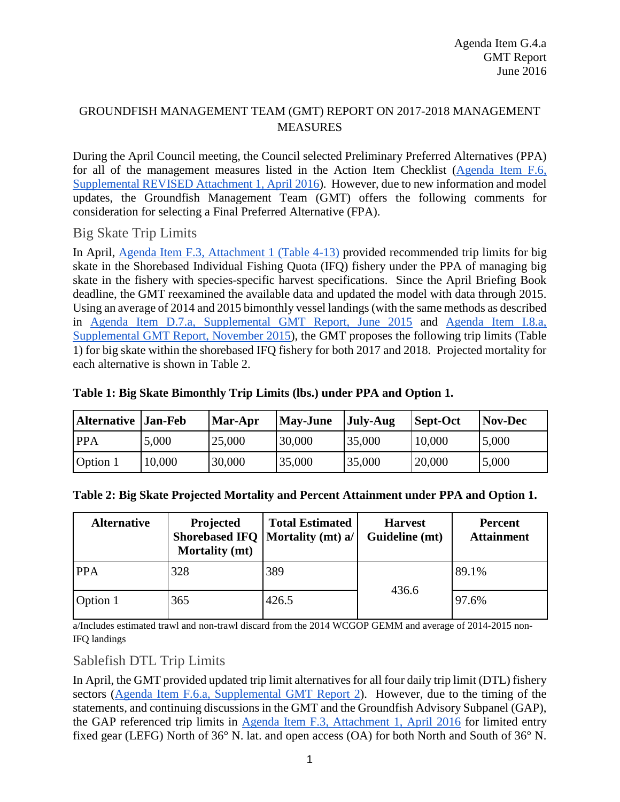## GROUNDFISH MANAGEMENT TEAM (GMT) REPORT ON 2017-2018 MANAGEMENT MEASURES

During the April Council meeting, the Council selected Preliminary Preferred Alternatives (PPA) for all of the management measures listed in the Action Item Checklist [\(Agenda Item F.6,](http://www.pcouncil.org/wp-content/uploads/2016/04/F6_Sup_REVISED_Att1_Checklist_APR2016BB.pdf)  [Supplemental REVISED Attachment 1,](http://www.pcouncil.org/wp-content/uploads/2016/04/F6_Sup_REVISED_Att1_Checklist_APR2016BB.pdf) April 2016). However, due to new information and model updates, the Groundfish Management Team (GMT) offers the following comments for consideration for selecting a Final Preferred Alternative (FPA).

## Big Skate Trip Limits

In April, [Agenda Item F.3, Attachment 1 \(Table 4-13\)](http://www.pcouncil.org/wp-content/uploads/2016/03/F3_Att1_17-18_GF_SpexCouncilDoc_APR2016BB.pdf) provided recommended trip limits for big skate in the Shorebased Individual Fishing Quota (IFQ) fishery under the PPA of managing big skate in the fishery with species-specific harvest specifications. Since the April Briefing Book deadline, the GMT reexamined the available data and updated the model with data through 2015. Using an average of 2014 and 2015 bimonthly vessel landings (with the same methods as described in [Agenda Item D.7.a, Supplemental GMT Report, June 2015](http://www.pcouncil.org/wp-content/uploads/2015/06/D7a_Sup_GMT_Rpt2_JUN2015BB.pdf) and [Agenda Item I.8.a,](http://www.pcouncil.org/wp-content/uploads/2015/11/I8a_Sup_GMT_Rpt_Nov2015BB.pdf)  [Supplemental GMT Report, November 2015\)](http://www.pcouncil.org/wp-content/uploads/2015/11/I8a_Sup_GMT_Rpt_Nov2015BB.pdf), the GMT proposes the following trip limits [\(Table](#page-0-0)  [1\)](#page-0-0) for big skate within the shorebased IFQ fishery for both 2017 and 2018. Projected mortality for each alternative is shown in [Table 2.](#page-0-1)

| <b>Alternative Jan-Feb</b> |        | Mar-Apr | <b>May-June</b> | <b>July-Aug</b> | <b>Sept-Oct</b> | Nov-Dec |
|----------------------------|--------|---------|-----------------|-----------------|-----------------|---------|
| <b>PPA</b>                 | 5,000  | 25,000  | 30,000          | 35,000          | 10,000          | 5,000   |
| Option 1                   | 10,000 | 30,000  | 35,000          | 35,000          | 20,000          | 5,000   |

## <span id="page-0-0"></span>**Table 1: Big Skate Bimonthly Trip Limits (lbs.) under PPA and Option 1.**

<span id="page-0-1"></span>

|  |  |  | Table 2: Big Skate Projected Mortality and Percent Attainment under PPA and Option 1. |  |  |
|--|--|--|---------------------------------------------------------------------------------------|--|--|
|  |  |  |                                                                                       |  |  |
|  |  |  |                                                                                       |  |  |
|  |  |  |                                                                                       |  |  |

| <b>Alternative</b> | Projected<br><b>Mortality (mt)</b> | <b>Total Estimated</b><br>Shorebased IFQ   Mortality (mt) a/ | <b>Harvest</b><br>Guideline (mt) | <b>Percent</b><br><b>Attainment</b> |
|--------------------|------------------------------------|--------------------------------------------------------------|----------------------------------|-------------------------------------|
| <b>PPA</b>         | 328                                | 389                                                          |                                  | 89.1%                               |
| Option 1           | 365                                | 426.5                                                        | 436.6                            | 97.6%                               |

a/Includes estimated trawl and non-trawl discard from the 2014 WCGOP GEMM and average of 2014-2015 non-IFQ landings

## Sablefish DTL Trip Limits

In April, the GMT provided updated trip limit alternatives for all four daily trip limit (DTL) fishery sectors [\(Agenda Item F.6.a, Supplemental GMT Report 2\)](http://www.pcouncil.org/wp-content/uploads/2016/04/F6a_Sup_GMT_Rpt2_APR2016BB.pdf). However, due to the timing of the statements, and continuing discussions in the GMT and the Groundfish Advisory Subpanel (GAP), the GAP referenced trip limits in [Agenda Item F.3, Attachment 1, April 2016](http://www.pcouncil.org/wp-content/uploads/2016/03/F3_Att1_17-18_GF_SpexCouncilDoc_APR2016BB.pdf) for limited entry fixed gear (LEFG) North of 36° N. lat. and open access (OA) for both North and South of 36° N.